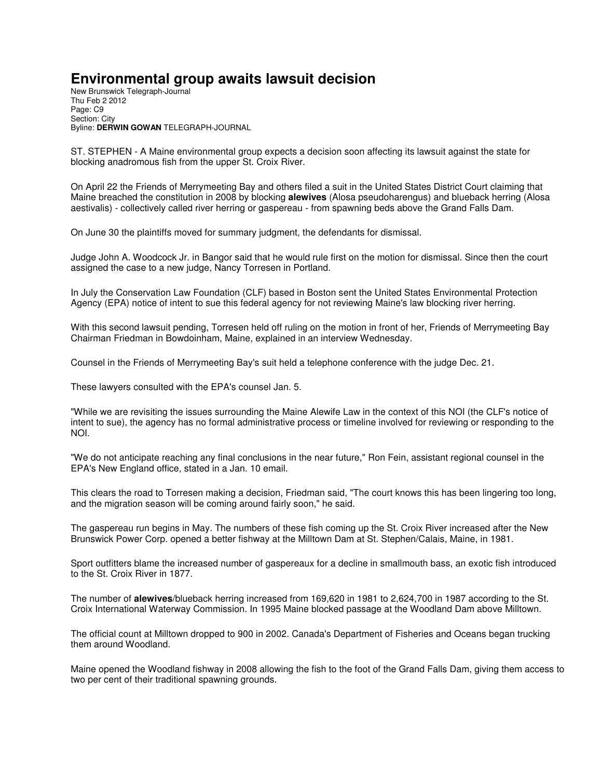## **Environmental group awaits lawsuit decision**

New Brunswick Telegraph-Journal Thu Feb 2 2012 Page: C9 Section: City Byline: **DERWIN GOWAN** TELEGRAPH-JOURNAL

ST. STEPHEN - A Maine environmental group expects a decision soon affecting its lawsuit against the state for blocking anadromous fish from the upper St. Croix River.

On April 22 the Friends of Merrymeeting Bay and others filed a suit in the United States District Court claiming that Maine breached the constitution in 2008 by blocking **alewives** (Alosa pseudoharengus) and blueback herring (Alosa aestivalis) - collectively called river herring or gaspereau - from spawning beds above the Grand Falls Dam.

On June 30 the plaintiffs moved for summary judgment, the defendants for dismissal.

Judge John A. Woodcock Jr. in Bangor said that he would rule first on the motion for dismissal. Since then the court assigned the case to a new judge, Nancy Torresen in Portland.

In July the Conservation Law Foundation (CLF) based in Boston sent the United States Environmental Protection Agency (EPA) notice of intent to sue this federal agency for not reviewing Maine's law blocking river herring.

With this second lawsuit pending, Torresen held off ruling on the motion in front of her, Friends of Merrymeeting Bay Chairman Friedman in Bowdoinham, Maine, explained in an interview Wednesday.

Counsel in the Friends of Merrymeeting Bay's suit held a telephone conference with the judge Dec. 21.

These lawyers consulted with the EPA's counsel Jan. 5.

"While we are revisiting the issues surrounding the Maine Alewife Law in the context of this NOI (the CLF's notice of intent to sue), the agency has no formal administrative process or timeline involved for reviewing or responding to the NOI.

"We do not anticipate reaching any final conclusions in the near future," Ron Fein, assistant regional counsel in the EPA's New England office, stated in a Jan. 10 email.

This clears the road to Torresen making a decision, Friedman said, "The court knows this has been lingering too long, and the migration season will be coming around fairly soon," he said.

The gaspereau run begins in May. The numbers of these fish coming up the St. Croix River increased after the New Brunswick Power Corp. opened a better fishway at the Milltown Dam at St. Stephen/Calais, Maine, in 1981.

Sport outfitters blame the increased number of gaspereaux for a decline in smallmouth bass, an exotic fish introduced to the St. Croix River in 1877.

The number of **alewives**/blueback herring increased from 169,620 in 1981 to 2,624,700 in 1987 according to the St. Croix International Waterway Commission. In 1995 Maine blocked passage at the Woodland Dam above Milltown.

The official count at Milltown dropped to 900 in 2002. Canada's Department of Fisheries and Oceans began trucking them around Woodland.

Maine opened the Woodland fishway in 2008 allowing the fish to the foot of the Grand Falls Dam, giving them access to two per cent of their traditional spawning grounds.